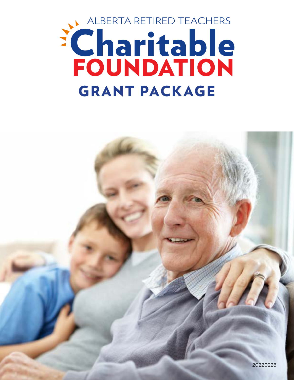

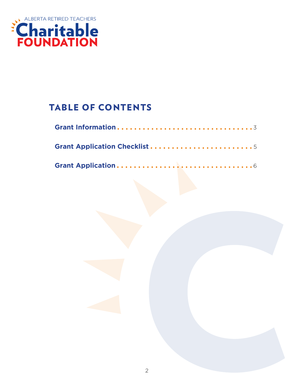

# TABLE OF CONTENTS

| Grant Application Checklist 5 |
|-------------------------------|
|                               |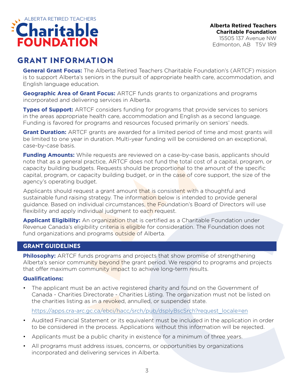

Edmonton, AB T5V 1R9

## GRANT INFORMATION

**General Grant Focus:** The Alberta Retired Teachers Charitable Foundation's (ARTCF) mission is to support Alberta's seniors in the pursuit of appropriate health care, accommodation, and English language education.

**Geographic Area of Grant Focus:** ARTCF funds grants to organizations and programs incorporated and delivering services in Alberta.

**Types of Support:** ARTCF considers funding for programs that provide services to seniors in the areas appropriate health care, accommodation and English as a second language. Funding is favored for programs and resources focused primarily on seniors' needs.

**Grant Duration:** ARTCF grants are awarded for a limited period of time and most grants will be limited to one year in duration. Multi-year funding will be considered on an exceptional, case-by-case basis.

**Funding Amounts:** While requests are reviewed on a case-by-case basis, applicants should note that as a general practice, ARTCF does not fund the total cost of a capital, program, or capacity building budgets. Requests should be proportional to the amount of the specific capital, program, or capacity building budget, or in the case of core support, the size of the agency's operating budget.

Applicants should request a grant amount that is consistent with a thoughtful and sustainable fund raising strategy. The information below is intended to provide general guidance. Based on individual circumstances, the Foundation's Board of Directors will use flexibility and apply individual judgment to each request.

**Applicant Eligibility:** An organization that is certified as a Charitable Foundation under Revenue Canada's eligibility criteria is eligible for consideration. The Foundation does not fund organizations and programs outside of Alberta.

### GRANT GUIDELINES

**Philosophy:** ARTCF funds programs and projects that show promise of strengthening Alberta's senior community beyond the grant period. We respond to programs and projects that offer maximum community impact to achieve long-term results.

#### **Qualifications:**

The applicant must be an active registered charity and found on the Government of Canada - Charities Directorate - Charities Listing. The organization must not be listed on the charities listing as in a revoked, annulled, or suspended state.

https://apps.cra-arc.gc.ca/ebci/hacc/srch/pub/dsplyBscSrch?request\_locale=e[n](https://www.canada.ca/en/revenue-agency/services/charities-giving/charities-listings.html )

- Audited Financial Statement or its equivalent must be included in the application in order to be considered in the process. Applications without this information will be rejected.
- Applicants must be a public charity in existence for a minimum of three years.
- All programs must address issues, concerns, or opportunities by organizations incorporated and delivering services in Alberta.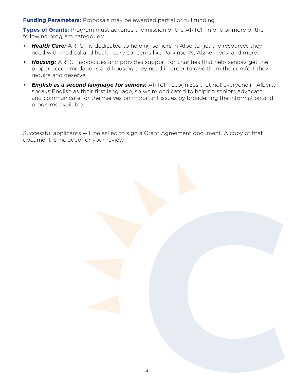**Funding Parameters:** Proposals may be awarded partial or full funding.

**Types of Grants:** Program must advance the mission of the ARTCF in one or more of the following program categories:

- *• Health Care:* ARTCF is dedicated to helping seniors in Alberta get the resources they need with medical and health care concerns like Parkinson's, Alzheimer's, and more.
- *• Housing:* ARTCF advocates and provides support for charities that help seniors get the proper accommodations and housing they need in order to give them the comfort they require and deserve.
- *• English as a second language for seniors:* ARTCF recognizes that not everyone in Alberta speaks English as their first language, so we're dedicated to helping seniors advocate and communicate for themselves on important issues by broadening the information and programs available.

Successful applicants will be asked to sign a Grant Agreement document. A copy of that document is included for your review.

4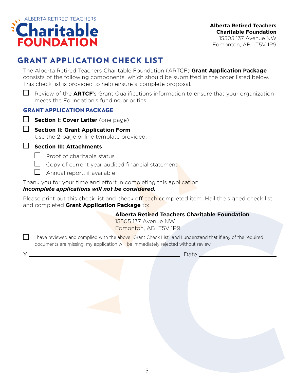

15505 137 Avenue NW Edmonton, AB T5V 1R9

# GRANT APPLICATION CHECK LIST

The Alberta Retired Teachers Charitable Foundation (ARTCF) **Grant Application Package** consists of the following components, which should be submitted in the order listed below. This check list is provided to help ensure a complete proposal.

Review of the **ARTCF**'s Grant Qualifications information to ensure that your organization meets the Foundation's funding priorities.

## GRANT APPLICATION PACKAGE

- **Section I: Cover Letter** (one page)
- 
- **Section II: Grant Application Form**

Use the 2-page online template provided.

**Section III: Attachments**

- $\Box$  Proof of charitable status
- $\Box$  Copy of current year audited financial statement
- $\Box$  Annual report, if available

Thank you for your time and effort in completing this application.

### *Incomplete applications will not be considered.*

Please print out this check list and check off each completed item. Mail the signed check list and completed **Grant Application Package** to:

**Alberta Retired Teachers Charitable Foundation**

15505 137 Avenue NW Edmonton, AB T5V 1R9

I have reviewed and complied with the above "Grant Check List" and I understand that if any of the required documents are missing, my application will be immediately rejected without review.

X Date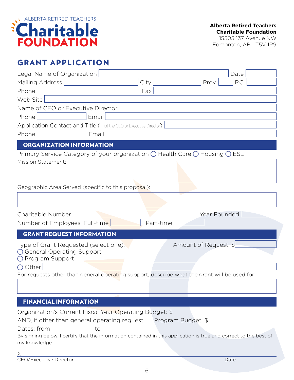

15505 137 Avenue NW Edmonton, AB T5V 1R9

## GRANT APPLICATION

| Legal Name of Organization                                                                             |       |           |                       | Date |
|--------------------------------------------------------------------------------------------------------|-------|-----------|-----------------------|------|
| Mailing Address                                                                                        |       | City      | Prov.                 | P.C. |
| Phone                                                                                                  |       | Fax       |                       |      |
| Web Site                                                                                               |       |           |                       |      |
| Name of CEO or Executive Director                                                                      |       |           |                       |      |
| Phone                                                                                                  | Email |           |                       |      |
| Application Contact and Title (if not the CEO or Executive Director)                                   |       |           |                       |      |
| Phone                                                                                                  | Email |           |                       |      |
| <b>ORGANIZATION INFORMATION</b>                                                                        |       |           |                       |      |
| Primary Service Category of your organization $\bigcirc$ Health Care $\bigcirc$ Housing $\bigcirc$ ESL |       |           |                       |      |
| <b>Mission Statement:</b>                                                                              |       |           |                       |      |
|                                                                                                        |       |           |                       |      |
|                                                                                                        |       |           |                       |      |
| Geographic Area Served (specific to this proposal):                                                    |       |           |                       |      |
|                                                                                                        |       |           |                       |      |
|                                                                                                        |       |           |                       |      |
| Charitable Number                                                                                      |       |           | Year Founded          |      |
| Number of Employees: Full-time                                                                         |       | Part-time |                       |      |
| <b>GRANT REQUEST INFORMATION</b>                                                                       |       |           |                       |      |
| Type of Grant Requested (select one):                                                                  |       |           | Amount of Request: \$ |      |
| ◯ General Operating Support                                                                            |       |           |                       |      |
| ◯ Program Support                                                                                      |       |           |                       |      |
| $\bigcirc$ Other                                                                                       |       |           |                       |      |
| For requests other than general operating support, describe what the grant will be used for:           |       |           |                       |      |
|                                                                                                        |       |           |                       |      |
|                                                                                                        |       |           |                       |      |
| <b>FINANCIAL INFORMATION</b>                                                                           |       |           |                       |      |

Organization's Current Fiscal Year Operating Budget: \$

AND, if other than general operating request . . . Program Budget: \$

Dates: from to

By signing below, I certify that the information contained in this application is true and correct to the best of my knowledge.